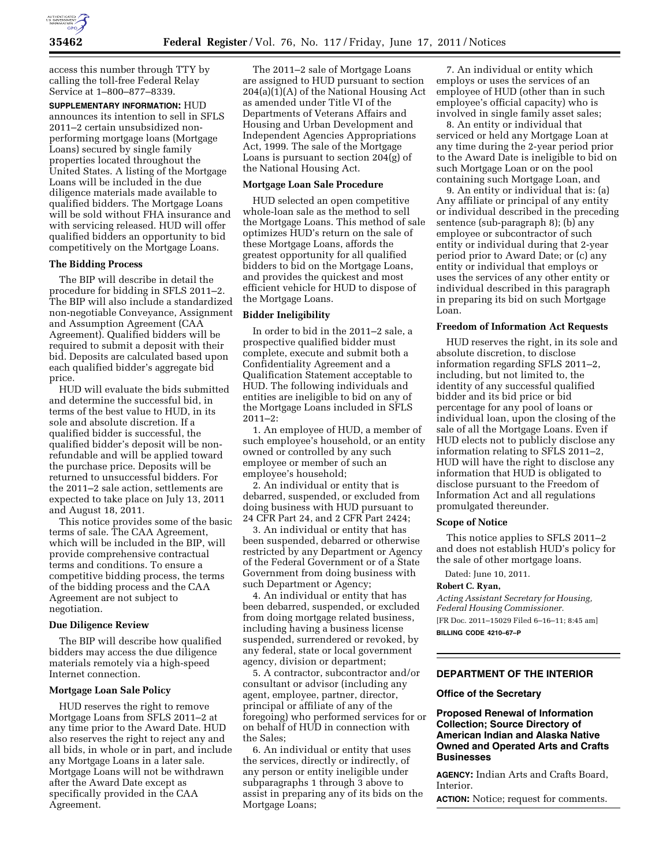

access this number through TTY by calling the toll-free Federal Relay Service at 1–800–877–8339.

**SUPPLEMENTARY INFORMATION:** HUD announces its intention to sell in SFLS 2011–2 certain unsubsidized nonperforming mortgage loans (Mortgage Loans) secured by single family properties located throughout the United States. A listing of the Mortgage Loans will be included in the due diligence materials made available to qualified bidders. The Mortgage Loans will be sold without FHA insurance and with servicing released. HUD will offer qualified bidders an opportunity to bid competitively on the Mortgage Loans.

#### **The Bidding Process**

The BIP will describe in detail the procedure for bidding in SFLS 2011–2. The BIP will also include a standardized non-negotiable Conveyance, Assignment and Assumption Agreement (CAA Agreement). Qualified bidders will be required to submit a deposit with their bid. Deposits are calculated based upon each qualified bidder's aggregate bid price.

HUD will evaluate the bids submitted and determine the successful bid, in terms of the best value to HUD, in its sole and absolute discretion. If a qualified bidder is successful, the qualified bidder's deposit will be nonrefundable and will be applied toward the purchase price. Deposits will be returned to unsuccessful bidders. For the 2011–2 sale action, settlements are expected to take place on July 13, 2011 and August 18, 2011.

This notice provides some of the basic terms of sale. The CAA Agreement, which will be included in the BIP, will provide comprehensive contractual terms and conditions. To ensure a competitive bidding process, the terms of the bidding process and the CAA Agreement are not subject to negotiation.

#### **Due Diligence Review**

The BIP will describe how qualified bidders may access the due diligence materials remotely via a high-speed Internet connection.

### **Mortgage Loan Sale Policy**

HUD reserves the right to remove Mortgage Loans from SFLS 2011–2 at any time prior to the Award Date. HUD also reserves the right to reject any and all bids, in whole or in part, and include any Mortgage Loans in a later sale. Mortgage Loans will not be withdrawn after the Award Date except as specifically provided in the CAA Agreement.

The 2011–2 sale of Mortgage Loans are assigned to HUD pursuant to section 204(a)(1)(A) of the National Housing Act as amended under Title VI of the Departments of Veterans Affairs and Housing and Urban Development and Independent Agencies Appropriations Act, 1999. The sale of the Mortgage Loans is pursuant to section 204(g) of the National Housing Act.

#### **Mortgage Loan Sale Procedure**

HUD selected an open competitive whole-loan sale as the method to sell the Mortgage Loans. This method of sale optimizes HUD's return on the sale of these Mortgage Loans, affords the greatest opportunity for all qualified bidders to bid on the Mortgage Loans, and provides the quickest and most efficient vehicle for HUD to dispose of the Mortgage Loans.

#### **Bidder Ineligibility**

In order to bid in the 2011–2 sale, a prospective qualified bidder must complete, execute and submit both a Confidentiality Agreement and a Qualification Statement acceptable to HUD. The following individuals and entities are ineligible to bid on any of the Mortgage Loans included in SFLS 2011–2:

1. An employee of HUD, a member of such employee's household, or an entity owned or controlled by any such employee or member of such an employee's household;

2. An individual or entity that is debarred, suspended, or excluded from doing business with HUD pursuant to 24 CFR Part 24, and 2 CFR Part 2424;

3. An individual or entity that has been suspended, debarred or otherwise restricted by any Department or Agency of the Federal Government or of a State Government from doing business with such Department or Agency;

4. An individual or entity that has been debarred, suspended, or excluded from doing mortgage related business, including having a business license suspended, surrendered or revoked, by any federal, state or local government agency, division or department;

5. A contractor, subcontractor and/or consultant or advisor (including any agent, employee, partner, director, principal or affiliate of any of the foregoing) who performed services for or on behalf of HUD in connection with the Sales;

6. An individual or entity that uses the services, directly or indirectly, of any person or entity ineligible under subparagraphs 1 through 3 above to assist in preparing any of its bids on the Mortgage Loans;

7. An individual or entity which employs or uses the services of an employee of HUD (other than in such employee's official capacity) who is involved in single family asset sales;

8. An entity or individual that serviced or held any Mortgage Loan at any time during the 2-year period prior to the Award Date is ineligible to bid on such Mortgage Loan or on the pool containing such Mortgage Loan, and

9. An entity or individual that is: (a) Any affiliate or principal of any entity or individual described in the preceding sentence (sub-paragraph 8); (b) any employee or subcontractor of such entity or individual during that 2-year period prior to Award Date; or (c) any entity or individual that employs or uses the services of any other entity or individual described in this paragraph in preparing its bid on such Mortgage Loan.

#### **Freedom of Information Act Requests**

HUD reserves the right, in its sole and absolute discretion, to disclose information regarding SFLS 2011–2, including, but not limited to, the identity of any successful qualified bidder and its bid price or bid percentage for any pool of loans or individual loan, upon the closing of the sale of all the Mortgage Loans. Even if HUD elects not to publicly disclose any information relating to SFLS 2011–2, HUD will have the right to disclose any information that HUD is obligated to disclose pursuant to the Freedom of Information Act and all regulations promulgated thereunder.

## **Scope of Notice**

This notice applies to SFLS 2011–2 and does not establish HUD's policy for the sale of other mortgage loans.

Dated: June 10, 2011.

### **Robert C. Ryan,**

*Acting Assistant Secretary for Housing, Federal Housing Commissioner.*  [FR Doc. 2011–15029 Filed 6–16–11; 8:45 am] **BILLING CODE 4210–67–P** 

# **DEPARTMENT OF THE INTERIOR**

#### **Office of the Secretary**

# **Proposed Renewal of Information Collection; Source Directory of American Indian and Alaska Native Owned and Operated Arts and Crafts Businesses**

**AGENCY:** Indian Arts and Crafts Board, **Interior** 

**ACTION:** Notice; request for comments.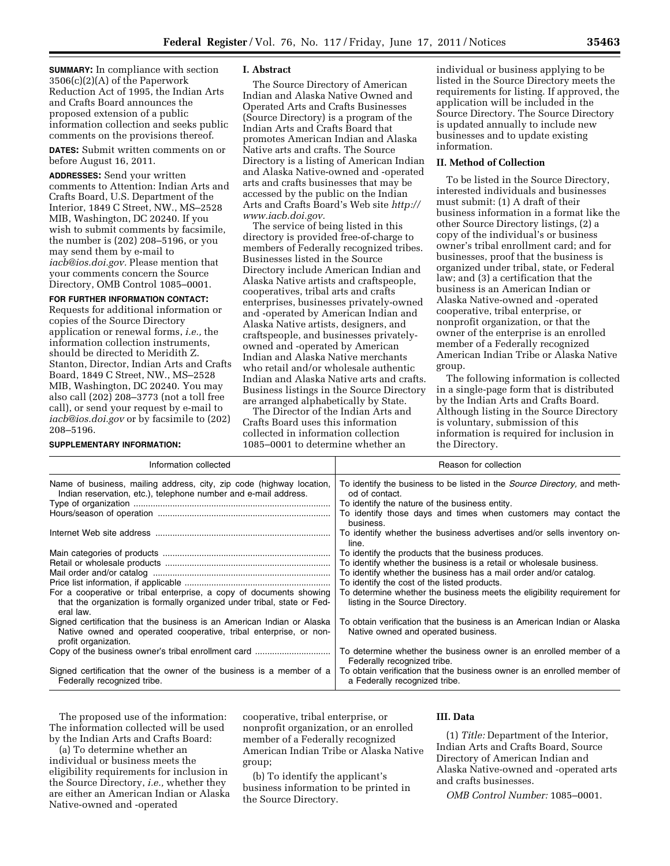**SUMMARY:** In compliance with section 3506(c)(2)(A) of the Paperwork Reduction Act of 1995, the Indian Arts and Crafts Board announces the proposed extension of a public information collection and seeks public comments on the provisions thereof.

**DATES:** Submit written comments on or before August 16, 2011.

**ADDRESSES:** Send your written comments to Attention: Indian Arts and Crafts Board, U.S. Department of the Interior, 1849 C Street, NW., MS–2528 MIB, Washington, DC 20240. If you wish to submit comments by facsimile, the number is (202) 208–5196, or you may send them by e-mail to *[iacb@ios.doi.gov.](mailto:iacb@ios.doi.gov)* Please mention that your comments concern the Source Directory, OMB Control 1085–0001.

#### **FOR FURTHER INFORMATION CONTACT:**

Requests for additional information or copies of the Source Directory application or renewal forms, *i.e.,* the information collection instruments, should be directed to Meridith Z. Stanton, Director, Indian Arts and Crafts Board, 1849 C Street, NW., MS–2528 MIB, Washington, DC 20240. You may also call (202) 208–3773 (not a toll free call), or send your request by e-mail to *[iacb@ios.doi.gov](mailto:iacb@ios.doi.gov)* or by facsimile to (202) 208–5196.

**SUPPLEMENTARY INFORMATION:** 

### **I. Abstract**

The Source Directory of American Indian and Alaska Native Owned and Operated Arts and Crafts Businesses (Source Directory) is a program of the Indian Arts and Crafts Board that promotes American Indian and Alaska Native arts and crafts. The Source Directory is a listing of American Indian and Alaska Native-owned and -operated arts and crafts businesses that may be accessed by the public on the Indian Arts and Crafts Board's Web site *[http://](http://www.iacb.doi.gov) [www.iacb.doi.gov.](http://www.iacb.doi.gov)* 

The service of being listed in this directory is provided free-of-charge to members of Federally recognized tribes. Businesses listed in the Source Directory include American Indian and Alaska Native artists and craftspeople, cooperatives, tribal arts and crafts enterprises, businesses privately-owned and -operated by American Indian and Alaska Native artists, designers, and craftspeople, and businesses privatelyowned and -operated by American Indian and Alaska Native merchants who retail and/or wholesale authentic Indian and Alaska Native arts and crafts. Business listings in the Source Directory are arranged alphabetically by State.

The Director of the Indian Arts and Crafts Board uses this information collected in information collection 1085–0001 to determine whether an

individual or business applying to be listed in the Source Directory meets the requirements for listing. If approved, the application will be included in the Source Directory. The Source Directory is updated annually to include new businesses and to update existing information.

### **II. Method of Collection**

To be listed in the Source Directory, interested individuals and businesses must submit: (1) A draft of their business information in a format like the other Source Directory listings, (2) a copy of the individual's or business owner's tribal enrollment card; and for businesses, proof that the business is organized under tribal, state, or Federal law; and (3) a certification that the business is an American Indian or Alaska Native-owned and -operated cooperative, tribal enterprise, or nonprofit organization, or that the owner of the enterprise is an enrolled member of a Federally recognized American Indian Tribe or Alaska Native group.

The following information is collected in a single-page form that is distributed by the Indian Arts and Crafts Board. Although listing in the Source Directory is voluntary, submission of this information is required for inclusion in the Directory.

| Information collected                                                                                                                                               | Reason for collection                                                                                           |
|---------------------------------------------------------------------------------------------------------------------------------------------------------------------|-----------------------------------------------------------------------------------------------------------------|
| Name of business, mailing address, city, zip code (highway location,<br>Indian reservation, etc.), telephone number and e-mail address.                             | To identify the business to be listed in the <i>Source Directory</i> , and meth-<br>od of contact.              |
|                                                                                                                                                                     | To identify the nature of the business entity.                                                                  |
|                                                                                                                                                                     | To identify those days and times when customers may contact the<br>business.                                    |
|                                                                                                                                                                     | To identify whether the business advertises and/or sells inventory on-<br>line.                                 |
|                                                                                                                                                                     | To identify the products that the business produces.                                                            |
|                                                                                                                                                                     | To identify whether the business is a retail or wholesale business.                                             |
|                                                                                                                                                                     | To identify whether the business has a mail order and/or catalog.                                               |
|                                                                                                                                                                     | To identify the cost of the listed products.                                                                    |
| For a cooperative or tribal enterprise, a copy of documents showing<br>that the organization is formally organized under tribal, state or Fed-<br>eral law.         | To determine whether the business meets the eligibility requirement for<br>listing in the Source Directory.     |
| Signed certification that the business is an American Indian or Alaska<br>Native owned and operated cooperative, tribal enterprise, or non-<br>profit organization. | To obtain verification that the business is an American Indian or Alaska<br>Native owned and operated business. |
| Copy of the business owner's tribal enrollment card                                                                                                                 | To determine whether the business owner is an enrolled member of a<br>Federally recognized tribe.               |
| Signed certification that the owner of the business is a member of a<br>Federally recognized tribe.                                                                 | To obtain verification that the business owner is an enrolled member of<br>a Federally recognized tribe.        |

The proposed use of the information: The information collected will be used by the Indian Arts and Crafts Board:

(a) To determine whether an individual or business meets the eligibility requirements for inclusion in the Source Directory, *i.e.,* whether they are either an American Indian or Alaska Native-owned and -operated

cooperative, tribal enterprise, or nonprofit organization, or an enrolled member of a Federally recognized American Indian Tribe or Alaska Native group;

(b) To identify the applicant's business information to be printed in the Source Directory.

### **III. Data**

(1) *Title:* Department of the Interior, Indian Arts and Crafts Board, Source Directory of American Indian and Alaska Native-owned and -operated arts and crafts businesses.

*OMB Control Number:* 1085–0001.